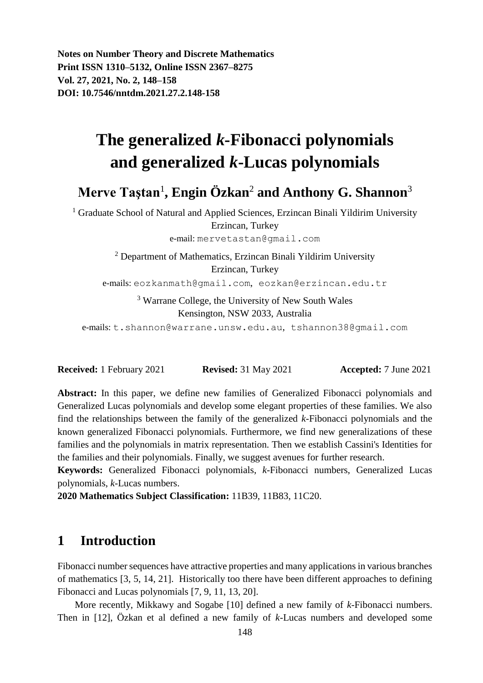**Notes on Number Theory and Discrete Mathematics Print ISSN 1310–5132, Online ISSN 2367–8275 Vol. 27, 2021, No. 2, 148–158 DOI: 10.7546/nntdm.2021.27.2.148-158**

# **The generalized** *k***-Fibonacci polynomials and generalized** *k***-Lucas polynomials**

# **Merve Taştan**<sup>1</sup> **, Engin Özkan**<sup>2</sup> **and Anthony G. Shannon**<sup>3</sup>

<sup>1</sup> Graduate School of Natural and Applied Sciences, Erzincan Binali Yildirim University Erzincan, Turkey

e-mail: mervetastan@gmail.com

<sup>2</sup> Department of Mathematics, Erzincan Binali Yildirim University Erzincan, Turkey

e-mails: eozkanmath@gmail.com, eozkan@erzincan.edu.tr

<sup>3</sup> Warrane College, the University of New South Wales Kensington, NSW 2033, Australia

e-mails: t.shannon@warrane.unsw.edu.au, tshannon38@gmail.com

**Received:** 1 February 2021 **Revised:** 31 May 2021 **Accepted:** 7 June 2021

**Abstract:** In this paper, we define new families of Generalized Fibonacci polynomials and Generalized Lucas polynomials and develop some elegant properties of these families. We also find the relationships between the family of the generalized *k*-Fibonacci polynomials and the known generalized Fibonacci polynomials. Furthermore, we find new generalizations of these families and the polynomials in matrix representation. Then we establish Cassini's Identities for the families and their polynomials. Finally, we suggest avenues for further research.

**Keywords:** Generalized Fibonacci polynomials, *k*-Fibonacci numbers, Generalized Lucas polynomials, *k*-Lucas numbers.

**2020 Mathematics Subject Classification:** 11B39, 11B83, 11C20.

### **1 Introduction**

Fibonacci number sequences have attractive properties and many applications in various branches of mathematics [3, 5, 14, 21]. Historically too there have been different approaches to defining Fibonacci and Lucas polynomials [7, 9, 11, 13, 20].

More recently, Mikkawy and Sogabe [10] defined a new family of *k*-Fibonacci numbers. Then in [12], Özkan et al defined a new family of *k-*Lucas numbers and developed some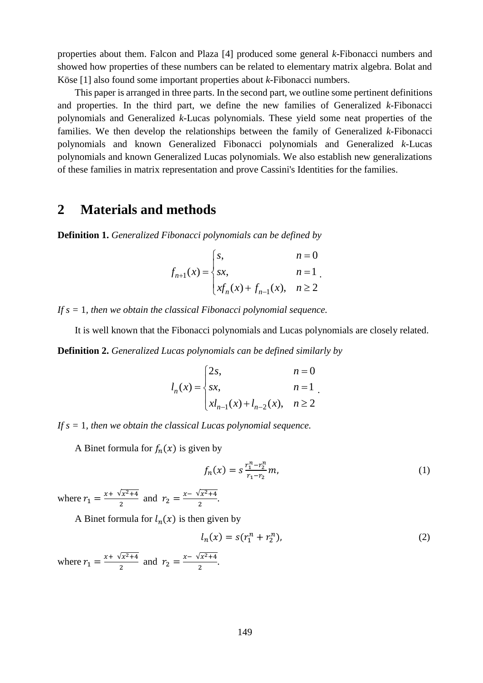properties about them. Falcon and Plaza [4] produced some general *k*-Fibonacci numbers and showed how properties of these numbers can be related to elementary matrix algebra. Bolat and Köse [1] also found some important properties about *k*-Fibonacci numbers.

This paper is arranged in three parts. In the second part, we outline some pertinent definitions and properties. In the third part, we define the new families of Generalized *k*-Fibonacci polynomials and Generalized *k*-Lucas polynomials. These yield some neat properties of the families. We then develop the relationships between the family of Generalized *k*-Fibonacci polynomials and known Generalized Fibonacci polynomials and Generalized *k*-Lucas polynomials and known Generalized Lucas polynomials. We also establish new generalizations of these families in matrix representation and prove Cassini's Identities for the families.

# **2 Materials and methods**

**Definition 1.** *Generalized Fibonacci polynomials can be defined by*

$$
f_{n+1}(x) = \begin{cases} s, & n = 0 \\ sx, & n = 1 \\ xf_n(x) + f_{n-1}(x), & n \ge 2 \end{cases}
$$

*If s =* 1*, then we obtain the classical Fibonacci polynomial sequence.*

It is well known that the Fibonacci polynomials and Lucas polynomials are closely related.

**Definition 2.** *Generalized Lucas polynomials can be defined similarly by*

$$
l_n(x) = \begin{cases} 2s, & n = 0 \\ sx, & n = 1 \\ xl_{n-1}(x) + l_{n-2}(x), & n \ge 2 \end{cases}
$$

*If s =* 1*, then we obtain the classical Lucas polynomial sequence.*

A Binet formula for  $f_n(x)$  is given by

$$
f_n(x) = s \frac{r_1^n - r_2^n}{r_1 - r_2} m,\tag{1}
$$

where  $r_1 = \frac{x + \sqrt{x^2 + 4}}{2}$  $\frac{\sqrt{x^2+4}}{2}$  and  $r_2 = \frac{x-\sqrt{x^2+4}}{2}$  $\frac{7x-44}{2}$ .

A Binet formula for  $l_n(x)$  is then given by

$$
l_n(x) = s(r_1^n + r_2^n),
$$
 (2)

where  $r_1 = \frac{x + \sqrt{x^2 + 4}}{2}$  $\frac{\sqrt{x^2+4}}{2}$  and  $r_2 = \frac{x-\sqrt{x^2+4}}{2}$  $\frac{12^{x+4}}{2}$ .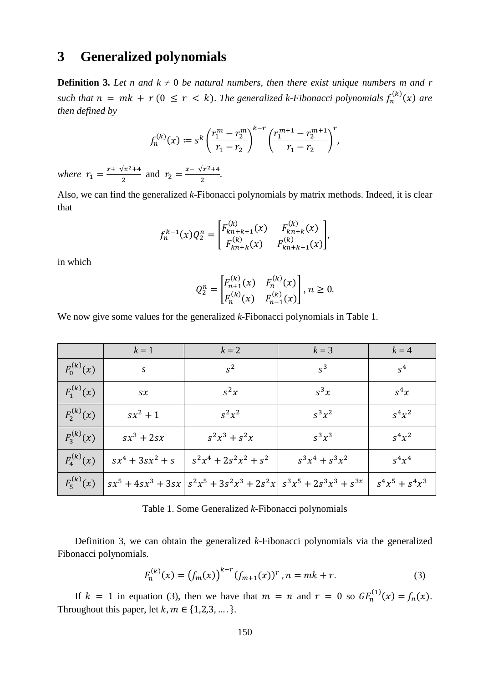# **3 Generalized polynomials**

**Definition 3.** Let n and  $k \neq 0$  be natural numbers, then there exist unique numbers m and r such that  $n = mk + r (0 \le r < k)$ . The generalized k-Fibonacci polynomials  $f_n^{(k)}(x)$  are *then defined by*

$$
f_n^{(k)}(x) \coloneqq s^k \left(\frac{r_1^m - r_2^m}{r_1 - r_2}\right)^{k-r} \left(\frac{r_1^{m+1} - r_2^{m+1}}{r_1 - r_2}\right)^r,
$$

*where*  $r_1 = \frac{x + \sqrt{x^2 + 4}}{2}$  $\frac{\sqrt{x^2+4}}{2}$  and  $r_2 = \frac{x-\sqrt{x^2+4}}{2}$  $\frac{12+4}{2}$ .

Also, we can find the generalized *k*-Fibonacci polynomials by matrix methods. Indeed, it is clear that

$$
f_n^{k-1}(x)Q_2^n = \begin{bmatrix} F_{kn+k+1}^{(k)}(x) & F_{kn+k}^{(k)}(x) \\ F_{kn+k}^{(k)}(x) & F_{kn+k-1}^{(k)}(x) \end{bmatrix},
$$

in which

$$
Q_2^n = \begin{bmatrix} F_{n+1}^{(k)}(x) & F_n^{(k)}(x) \\ F_n^{(k)}(x) & F_{n-1}^{(k)}(x) \end{bmatrix}, n \ge 0.
$$

We now give some values for the generalized *k*-Fibonacci polynomials in Table 1.

|                | $k=1$                  | $k=2$                                                                       | $k=3$             | $k=4$             |
|----------------|------------------------|-----------------------------------------------------------------------------|-------------------|-------------------|
| $F_0^{(k)}(x)$ | S                      | $s^2$                                                                       | $s^3$             | $s^4$             |
| $F_1^{(k)}(x)$ | $S\mathcal{X}$         | $s^2x$                                                                      | $s^3x$            | $S^4x$            |
| $F_2^{(k)}(x)$ | $sx^2+1$               | $s^2x^2$                                                                    | $s^3x^2$          | $S^4x^2$          |
| $F_3^{(k)}(x)$ | $sx^3 + 2sx$           | $s^2x^3 + s^2x$                                                             | $s^3x^3$          | $s^4x^2$          |
| $F_4^{(k)}(x)$ | $sx^{4} + 3sx^{2} + s$ | $s^2x^4 + 2s^2x^2 + s^2$                                                    | $s^3x^4 + s^3x^2$ | $S^4x^4$          |
| $F_5^{(k)}(x)$ |                        | $sx^5 + 4sx^3 + 3sx   s^2x^5 + 3s^2x^3 + 2s^2x   s^3x^5 + 2s^3x^3 + s^{3x}$ |                   | $s^4x^5 + s^4x^3$ |

Table 1. Some Generalized *k*-Fibonacci polynomials

Definition 3, we can obtain the generalized *k*-Fibonacci polynomials via the generalized Fibonacci polynomials.

$$
F_n^{(k)}(x) = (f_m(x))^{k-r} (f_{m+1}(x))^r, n = mk + r.
$$
 (3)

If  $k = 1$  in equation (3), then we have that  $m = n$  and  $r = 0$  so  $GF_n^{(1)}(x) = f_n(x)$ . Throughout this paper, let  $k, m \in \{1,2,3,\dots\}$ .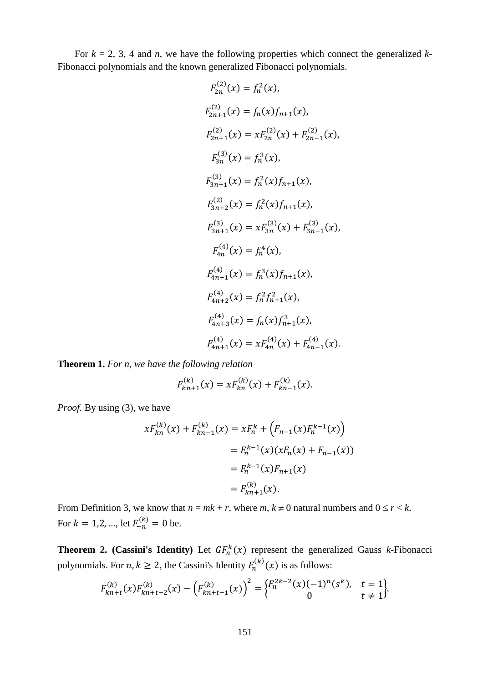For  $k = 2, 3, 4$  and *n*, we have the following properties which connect the generalized *k*-Fibonacci polynomials and the known generalized Fibonacci polynomials.

$$
F_{2n}^{(2)}(x) = f_n^2(x),
$$
  
\n
$$
F_{2n+1}^{(2)}(x) = f_n(x)f_{n+1}(x),
$$
  
\n
$$
F_{2n+1}^{(2)}(x) = xF_{2n}^{(2)}(x) + F_{2n-1}^{(2)}(x),
$$
  
\n
$$
F_{3n}^{(3)}(x) = f_n^3(x),
$$
  
\n
$$
F_{3n+1}^{(3)}(x) = f_n^2(x)f_{n+1}(x),
$$
  
\n
$$
F_{3n+2}^{(2)}(x) = f_n^2(x)f_{n+1}(x),
$$
  
\n
$$
F_{3n+1}^{(3)}(x) = xF_{3n}^{(3)}(x) + F_{3n-1}^{(3)}(x),
$$
  
\n
$$
F_{4n}^{(4)}(x) = f_n^4(x),
$$
  
\n
$$
F_{4n+1}^{(4)}(x) = f_n^3(x)f_{n+1}(x),
$$
  
\n
$$
F_{4n+2}^{(4)}(x) = f_n^2f_{n+1}^2(x),
$$
  
\n
$$
F_{4n+3}^{(4)}(x) = f_n(x)f_{n+1}^3(x),
$$
  
\n
$$
F_{4n+1}^{(4)}(x) = xF_{4n}^{(4)}(x) + F_{4n-1}^{(4)}(x).
$$

**Theorem 1.** *For n, we have the following relation*

$$
F_{kn+1}^{(k)}(x) = x F_{kn}^{(k)}(x) + F_{kn-1}^{(k)}(x).
$$

*Proof.* By using (3), we have

$$
xF_{kn}^{(k)}(x) + F_{kn-1}^{(k)}(x) = xF_n^k + (F_{n-1}(x)F_n^{k-1}(x))
$$
  

$$
= F_n^{k-1}(x)(xF_n(x) + F_{n-1}(x))
$$
  

$$
= F_n^{k-1}(x)F_{n+1}(x)
$$
  

$$
= F_{kn+1}^{(k)}(x).
$$

From Definition 3, we know that  $n = mk + r$ , where  $m, k \neq 0$  natural numbers and  $0 \leq r < k$ . For  $k = 1, 2, ...,$  let  $F_{-n}^{(k)} = 0$  be.

**Theorem 2. (Cassini's Identity)** Let  $GF_n^k(x)$  represent the generalized Gauss *k*-Fibonacci polynomials. For  $n, k \ge 2$ , the Cassini's Identity  $F_n^{(k)}(x)$  is as follows:

$$
F_{kn+t}^{(k)}(x)F_{kn+t-2}^{(k)}(x) - \left(F_{kn+t-1}^{(k)}(x)\right)^2 = \begin{cases} F_n^{2k-2}(x)(-1)^n(s^k), & t = 1\\ 0 & t \neq 1 \end{cases}.
$$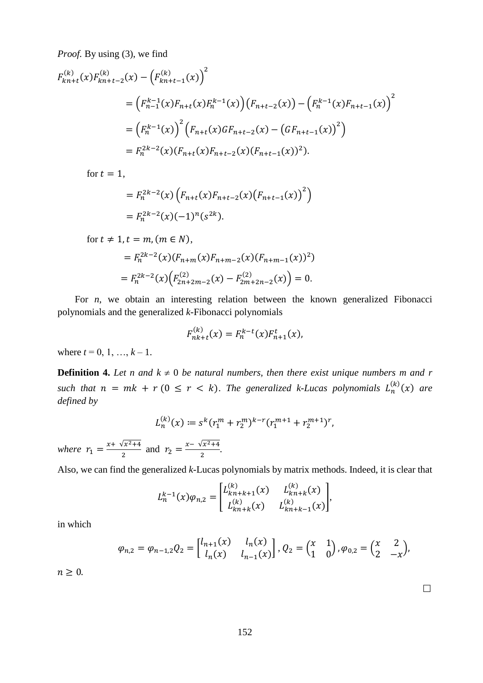*Proof.* By using (3), we find

$$
F_{kn+t}^{(k)}(x)F_{kn+t-2}^{(k)}(x) - \left(F_{kn+t-1}^{(k)}(x)\right)^2
$$
  
= 
$$
\left(F_{n-1}^{k-1}(x)F_{n+t}(x)F_n^{k-1}(x)\right)\left(F_{n+t-2}(x)\right) - \left(F_n^{k-1}(x)F_{n+t-1}(x)\right)^2
$$
  
= 
$$
\left(F_n^{k-1}(x)\right)^2 \left(F_{n+t}(x)GF_{n+t-2}(x) - \left(GF_{n+t-1}(x)\right)^2\right)
$$
  
= 
$$
F_n^{2k-2}(x)\left(F_{n+t}(x)F_{n+t-2}(x)\left(F_{n+t-1}(x)\right)^2\right).
$$

for  $t=1$ ,

$$
= F_n^{2k-2}(x) \left( F_{n+t}(x) F_{n+t-2}(x) \left( F_{n+t-1}(x) \right)^2 \right)
$$
  
=  $F_n^{2k-2}(x) (-1)^n (s^{2k}).$ 

for  $t \neq 1$ ,  $t = m$ ,  $(m \in N)$ ,

$$
= F_n^{2k-2}(x)(F_{n+m}(x)F_{n+m-2}(x)(F_{n+m-1}(x))^2)
$$
  
=  $F_n^{2k-2}(x)\Big(F_{2n+2m-2}^{(2)}(x) - F_{2m+2n-2}^{(2)}(x)\Big) = 0.$ 

For *n*, we obtain an interesting relation between the known generalized Fibonacci polynomials and the generalized *k*-Fibonacci polynomials

$$
F_{nk+t}^{(k)}(x) = F_n^{k-t}(x) F_{n+1}^t(x),
$$

where  $t = 0, 1, ..., k - 1$ .

**Definition 4.** Let n and  $k \neq 0$  be natural numbers, then there exist unique numbers m and r such that  $n = mk + r (0 \le r < k)$ . The generalized k-Lucas polynomials  $L_n^{(k)}(x)$  are *defined by*

$$
L_n^{(k)}(x) := s^k (r_1^m + r_2^m)^{k-r} (r_1^{m+1} + r_2^{m+1})^r,
$$
  

$$
r = \sqrt{r_1^2 + 4}
$$

*where*  $r_1 = \frac{x + \sqrt{x^2 + 4}}{2}$  $\frac{\sqrt{x^2+4}}{2}$  and  $r_2 = \frac{x-\sqrt{x^2+4}}{2}$  $\frac{7x-44}{2}$ .

Also, we can find the generalized *k*-Lucas polynomials by matrix methods. Indeed, it is clear that

$$
L_n^{k-1}(x)\varphi_{n,2} = \begin{bmatrix} L_{kn+k+1}^{(k)}(x) & L_{kn+k}^{(k)}(x) \\ L_{kn+k}^{(k)}(x) & L_{kn+k-1}^{(k)}(x) \end{bmatrix},
$$

in which

$$
\varphi_{n,2} = \varphi_{n-1,2} Q_2 = \begin{bmatrix} l_{n+1}(x) & l_n(x) \\ l_n(x) & l_{n-1}(x) \end{bmatrix}, Q_2 = \begin{pmatrix} x & 1 \\ 1 & 0 \end{pmatrix}, \varphi_{0,2} = \begin{pmatrix} x & 2 \\ 2 & -x \end{pmatrix},
$$

 $n \geq 0$ .

 $\Box$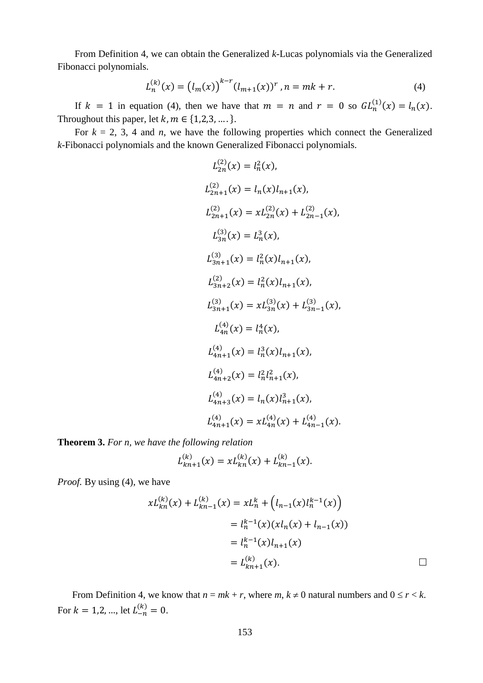From Definition 4, we can obtain the Generalized *k*-Lucas polynomials via the Generalized Fibonacci polynomials.

$$
L_n^{(k)}(x) = (l_m(x))^{k-r} (l_{m+1}(x))^r, n = mk + r.
$$
 (4)

If  $k = 1$  in equation (4), then we have that  $m = n$  and  $r = 0$  so  $GL_n^{(1)}(x) = l_n(x)$ . Throughout this paper, let  $k, m \in \{1,2,3,\dots\}$ .

For  $k = 2, 3, 4$  and *n*, we have the following properties which connect the Generalized *k*-Fibonacci polynomials and the known Generalized Fibonacci polynomials.

$$
L_{2n}^{(2)}(x) = l_n^2(x),
$$
  
\n
$$
L_{2n+1}^{(2)}(x) = l_n(x)l_{n+1}(x),
$$
  
\n
$$
L_{2n+1}^{(2)}(x) = xL_{2n}^{(2)}(x) + L_{2n-1}^{(2)}(x),
$$
  
\n
$$
L_{3n}^{(3)}(x) = L_n^3(x),
$$
  
\n
$$
L_{3n+1}^{(3)}(x) = l_n^2(x)l_{n+1}(x),
$$
  
\n
$$
L_{3n+2}^{(2)}(x) = l_n^2(x)l_{n+1}(x),
$$
  
\n
$$
L_{3n+1}^{(3)}(x) = xL_{3n}^{(3)}(x) + L_{3n-1}^{(3)}(x),
$$
  
\n
$$
L_{4n}^{(4)}(x) = l_n^4(x),
$$
  
\n
$$
L_{4n+1}^{(4)}(x) = l_n^3(x)l_{n+1}(x),
$$
  
\n
$$
L_{4n+2}^{(4)}(x) = l_n(x)l_{n+1}^3(x),
$$
  
\n
$$
L_{4n+3}^{(4)}(x) = l_n(x)l_{n+1}^3(x),
$$
  
\n
$$
L_{4n+1}^{(4)}(x) = xL_{4n}^{(4)}(x) + L_{4n-1}^{(4)}(x).
$$

**Theorem 3.** *For n, we have the following relation*

$$
L_{kn+1}^{(k)}(x) = xL_{kn}^{(k)}(x) + L_{kn-1}^{(k)}(x).
$$

*Proof.* By using (4), we have

$$
xL_{kn}^{(k)}(x) + L_{kn-1}^{(k)}(x) = xL_n^k + (l_{n-1}(x)L_n^{k-1}(x))
$$
  

$$
= l_n^{k-1}(x)(xl_n(x) + l_{n-1}(x))
$$
  

$$
= l_n^{k-1}(x)l_{n+1}(x)
$$
  

$$
= L_{kn+1}^{(k)}(x).
$$

From Definition 4, we know that  $n = mk + r$ , where  $m, k \neq 0$  natural numbers and  $0 \leq r < k$ . For  $k = 1, 2, ...,$  let  $L_{-n}^{(k)} = 0$ .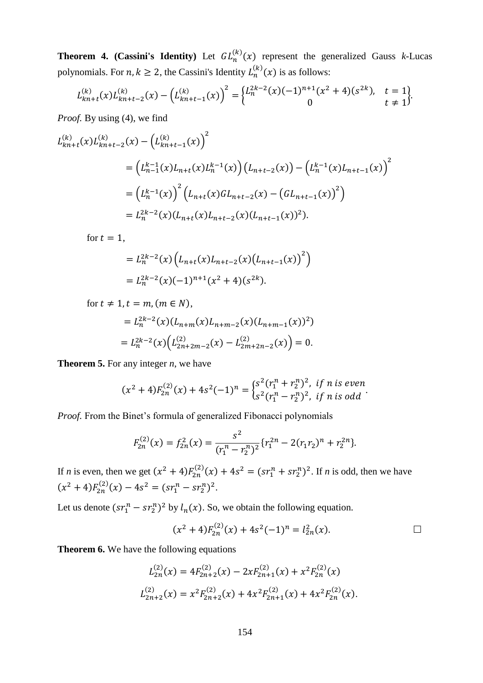**Theorem 4. (Cassini's Identity)** Let  $GL_n^{(k)}(x)$  represent the generalized Gauss *k*-Lucas polynomials. For  $n, k \geq 2$ , the Cassini's Identity  $L_n^{(k)}(x)$  is as follows:

$$
L_{kn+t}^{(k)}(x)L_{kn+t-2}^{(k)}(x) - \left(L_{kn+t-1}^{(k)}(x)\right)^2 = \begin{cases} L_n^{2k-2}(x)(-1)^{n+1}(x^2+4)(s^{2k}), & t=1\\ 0 & t \neq 1 \end{cases}.
$$

*Proof.* By using (4), we find

$$
L_{kn+t}^{(k)}(x)L_{kn+t-2}^{(k)}(x) - (L_{kn+t-1}^{(k)}(x))^{2}
$$
  
=  $(L_{n-1}^{k-1}(x)L_{n+t}(x)L_{n}^{k-1}(x))(L_{n+t-2}(x)) - (L_{n}^{k-1}(x)L_{n+t-1}(x))^{2}$   
=  $(L_{n}^{k-1}(x))^{2}(L_{n+t}(x)GL_{n+t-2}(x) - (GL_{n+t-1}(x))^{2})$   
=  $L_{n}^{2k-2}(x)(L_{n+t}(x)L_{n+t-2}(x)(L_{n+t-1}(x))^{2}).$ 

for  $t = 1$ ,

$$
= L_n^{2k-2}(x) \left( L_{n+t}(x) L_{n+t-2}(x) (L_{n+t-1}(x))^2 \right)
$$
  
=  $L_n^{2k-2}(x) (-1)^{n+1} (x^2 + 4) (s^{2k}).$ 

for  $t \neq 1$ ,  $t = m$ ,  $(m \in N)$ ,

$$
= L_n^{2k-2}(x)(L_{n+m}(x)L_{n+m-2}(x)(L_{n+m-1}(x))^2)
$$
  
=  $L_n^{2k-2}(x)(L_{2n+2m-2}^{(2)}(x) - L_{2m+2n-2}^{(2)}(x)) = 0.$ 

**Theorem 5.** For any integer *n*, we have

$$
(x2 + 4)F2n(2)(x) + 4s2(-1)n = {s2(r1n + r2n)2, if n is evens2(r1n - r2n)2, if n is odd.
$$

*Proof.* From the Binet's formula of generalized Fibonacci polynomials

$$
F_{2n}^{(2)}(x) = f_{2n}^{2}(x) = \frac{s^{2}}{(r_{1}^{n} - r_{2}^{n})^{2}} \{r_{1}^{2n} - 2(r_{1}r_{2})^{n} + r_{2}^{2n}\}.
$$

If *n* is even, then we get  $(x^2 + 4)F_{2n}^{(2)}(x) + 4s^2 = (sr_1^n + sr_2^n)^2$ . If *n* is odd, then we have  $(x^2+4)F_{2n}^{(2)}(x) - 4s^2 = (sr_1^n - sr_2^n)^2.$ 

Let us denote  $(sr_1^n - sr_2^n)^2$  by  $l_n(x)$ . So, we obtain the following equation.

$$
(x2 + 4)F2n(2)(x) + 4s2(-1)n = l2n2(x).
$$

**Theorem 6.** We have the following equations

$$
L_{2n}^{(2)}(x) = 4F_{2n+2}^{(2)}(x) - 2xF_{2n+1}^{(2)}(x) + x^2 F_{2n}^{(2)}(x)
$$
  

$$
L_{2n+2}^{(2)}(x) = x^2 F_{2n+2}^{(2)}(x) + 4x^2 F_{2n+1}^{(2)}(x) + 4x^2 F_{2n}^{(2)}(x).
$$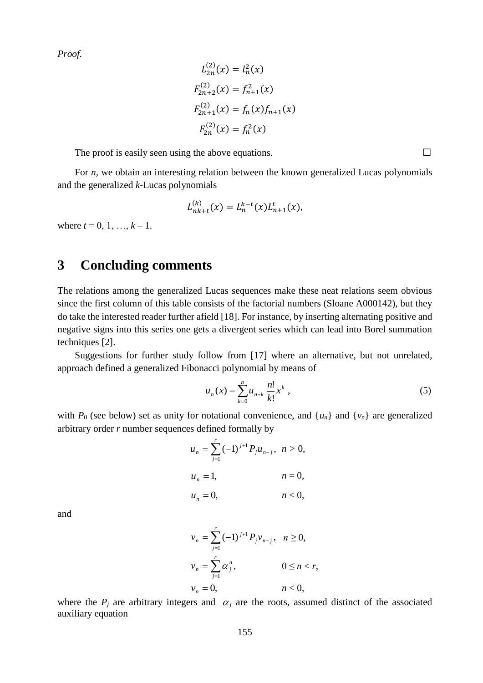*Proof.*

$$
L_{2n}^{(2)}(x) = l_n^2(x)
$$
  
\n
$$
F_{2n+2}^{(2)}(x) = f_{n+1}^2(x)
$$
  
\n
$$
F_{2n+1}^{(2)}(x) = f_n(x)f_{n+1}(x)
$$
  
\n
$$
F_{2n}^{(2)}(x) = f_n^2(x)
$$

The proof is easily seen using the above equations.  $\Box$ 

For *n*, we obtain an interesting relation between the known generalized Lucas polynomials and the generalized *k*-Lucas polynomials

$$
L_{nk+t}^{(k)}(x) = L_n^{k-t}(x)L_{n+1}^t(x),
$$

where  $t = 0, 1, ..., k - 1$ .

# **3 Concluding comments**

The relations among the generalized Lucas sequences make these neat relations seem obvious since the first column of this table consists of the factorial numbers (Sloane A000142), but they do take the interested reader further afield [18]. For instance, by inserting alternating positive and negative signs into this series one gets a divergent series which can lead into Borel summation techniques [2].

Suggestions for further study follow from [17] where an alternative, but not unrelated, approach defined a generalized Fibonacci polynomial by means of

$$
u_n(x) = \sum_{k=0}^n u_{n-k} \frac{n!}{k!} x^k , \qquad (5)
$$

with  $P_0$  (see below) set as unity for notational convenience, and  $\{u_n\}$  and  $\{v_n\}$  are generalized arbitrary order *r* number sequences defined formally by

$$
u_n = \sum_{j=1}^r (-1)^{j+1} P_j u_{n-j}, \quad n > 0,
$$
  

$$
u_n = 1, \qquad n = 0,
$$
  

$$
u_n = 0, \qquad n < 0,
$$

and

$$
\begin{aligned}\nv_n &= \sum_{j=1}^r (-1)^{j+1} P_j v_{n-j}, & n \ge 0, \\
v_n &= \sum_{j=1}^r \alpha_j^n, & 0 \le n < r, \\
v_n &= 0, & n < 0,\n\end{aligned}
$$

where the  $P_j$  are arbitrary integers and  $\alpha_j$  are the roots, assumed distinct of the associated auxiliary equation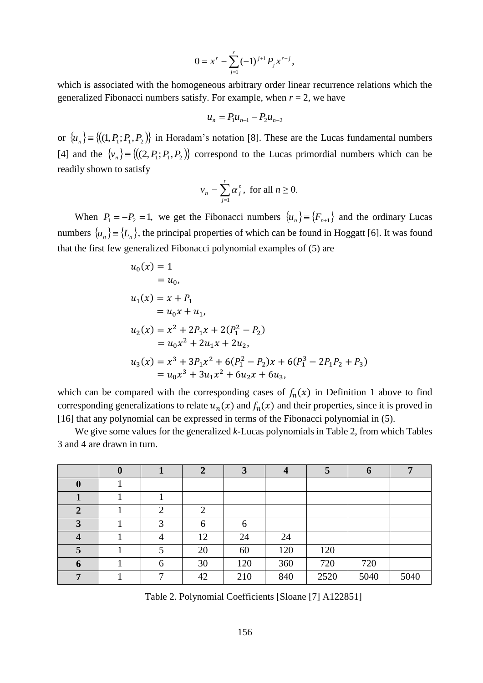$$
0 = x^{r} - \sum_{j=1}^{r} (-1)^{j+1} P_{j} x^{r-j},
$$

which is associated with the homogeneous arbitrary order linear recurrence relations which the generalized Fibonacci numbers satisfy. For example, when  $r = 2$ , we have

$$
u_n = P_1 u_{n-1} - P_2 u_{n-2}
$$

or  $\{u_n\}$  =  $\{(1, P_1, P_1, P_2)\}$  in Horadam's notation [8]. These are the Lucas fundamental numbers [4] and the  $\{v_n\} \equiv \{((2, P_1; P_1, P_2))\}$  correspond to the Lucas primordial numbers which can be readily shown to satisfy

$$
v_n = \sum_{j=1}^r \alpha_j^n
$$
, for all  $n \ge 0$ .

When  $P_1 = -P_2 = 1$ , we get the Fibonacci numbers  $\{u_n\} = \{F_{n+1}\}\$  and the ordinary Lucas numbers  $\{u_n\}$  =  $\{L_n\}$ , the principal properties of which can be found in Hoggatt [6]. It was found that the first few generalized Fibonacci polynomial examples of (5) are

$$
u_0(x) = 1
$$
  
=  $u_0$ ,  

$$
u_1(x) = x + P_1
$$
  
=  $u_0x + u_1$ ,  

$$
u_2(x) = x^2 + 2P_1x + 2(P_1^2 - P_2)
$$
  
=  $u_0x^2 + 2u_1x + 2u_2$ ,  

$$
u_3(x) = x^3 + 3P_1x^2 + 6(P_1^2 - P_2)x + 6(P_1^3 - 2P_1P_2 + P_3)
$$
  
=  $u_0x^3 + 3u_1x^2 + 6u_2x + 6u_3$ ,

which can be compared with the corresponding cases of  $f_n(x)$  in Definition 1 above to find corresponding generalizations to relate  $u_n(x)$  and  $f_n(x)$  and their properties, since it is proved in [16] that any polynomial can be expressed in terms of the Fibonacci polynomial in (5).

We give some values for the generalized *k*-Lucas polynomials in Table 2, from which Tables 3 and 4 are drawn in turn.

|                  | $\boldsymbol{0}$ |   | $\overline{2}$ | $\mathbf{\Omega}$ | $\overline{4}$ | $\mathbf{c}$ | $\boldsymbol{0}$ | -    |
|------------------|------------------|---|----------------|-------------------|----------------|--------------|------------------|------|
| $\boldsymbol{0}$ |                  |   |                |                   |                |              |                  |      |
|                  |                  |   |                |                   |                |              |                  |      |
| $\overline{2}$   |                  | ി | ി              |                   |                |              |                  |      |
| 3                |                  | 2 | 6              | 6                 |                |              |                  |      |
| $\boldsymbol{4}$ |                  | 4 | 12             | 24                | 24             |              |                  |      |
| 5                |                  |   | 20             | 60                | 120            | 120          |                  |      |
| 6                |                  | 6 | 30             | 120               | 360            | 720          | 720              |      |
| 7                |                  | ⇁ | 42             | 210               | 840            | 2520         | 5040             | 5040 |

Table 2. Polynomial Coefficients [Sloane [7] A122851]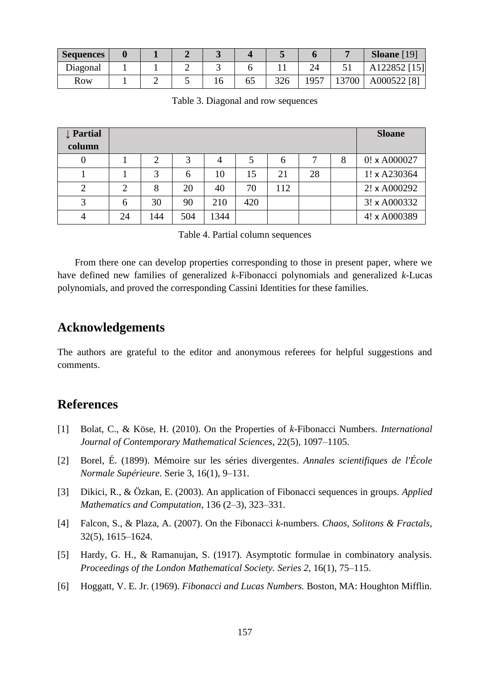| <b>Sequences</b> |  |  |    |     |      |       | <b>Sloane</b> [19] |
|------------------|--|--|----|-----|------|-------|--------------------|
| Diagonal         |  |  |    |     | 24   |       | A122852 [15]       |
| Row              |  |  | OJ | 326 | 1957 | 13700 | A000522 [8]        |

Table 3. Diagonal and row sequences

| <b>Partial</b><br>column |    |     |     |      |     |     |    |   | <b>Sloane</b>       |
|--------------------------|----|-----|-----|------|-----|-----|----|---|---------------------|
|                          |    | 2   | 3   | 4    |     | 6   |    | 8 | $0! \times A000027$ |
|                          |    | 3   | 6   | 10   | 15  | 21  | 28 |   | 1! x A230364        |
|                          |    | 8   | 20  | 40   | 70  | 112 |    |   | 2! x A000292        |
|                          | 6  | 30  | 90  | 210  | 420 |     |    |   | 3! x A000332        |
|                          | 24 | 144 | 504 | 1344 |     |     |    |   | 4! x A000389        |

Table 4. Partial column sequences

From there one can develop properties corresponding to those in present paper, where we have defined new families of generalized *k*-Fibonacci polynomials and generalized *k*-Lucas polynomials, and proved the corresponding Cassini Identities for these families.

#### **Acknowledgements**

The authors are grateful to the editor and anonymous referees for helpful suggestions and comments.

#### **References**

- [1] Bolat, C., & Köse, H. (2010). On the Properties of *k*-Fibonacci Numbers. *International Journal of Contemporary Mathematical Sciences*, 22(5), 1097–1105.
- [2] Borel, É. (1899). [Mémoire sur les séries divergentes.](http://www.numdam.org/item?id=ASENS_1899_3_16__9_0) *Annales scientifiques de l'École Normale Supérieure*. Serie 3, 16(1), 9–131.
- [3] Dikici, R., & Özkan, E. (2003). An application of Fibonacci sequences in groups. *Applied Mathematics and Computation*, 136 (2–3), 323–331.
- [4] Falcon, S., & Plaza, A. (2007). On the Fibonacci *k*-numbers. *Chaos, Solitons & Fractals*, 32(5), 1615–1624.
- [5] Hardy, G. H., & Ramanujan, S. (1917). Asymptotic formulae in combinatory analysis. *Proceedings of the London Mathematical Society. Series 2*, 16(1), 75–115.
- [6] Hoggatt, V. E. Jr. (1969). *Fibonacci and Lucas Numbers.* Boston, MA: Houghton Mifflin.